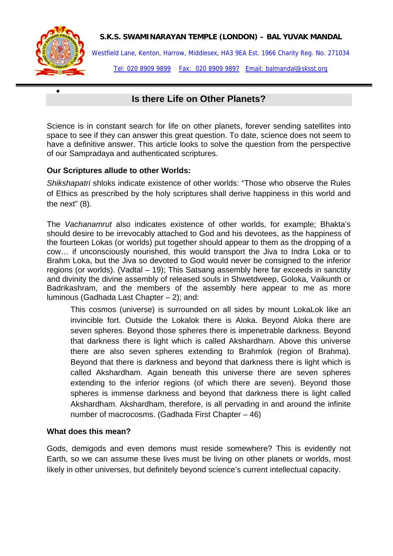#### **S.K.S. SWAMINARAYAN TEMPLE (LONDON) – BAL YUVAK MANDAL**



•

Westfield Lane, Kenton, Harrow, Middlesex, HA3 9EA Est. 1966 Charity Reg. No. 271034 Tel: 020 8909 9899 Fax: 020 8909 9897 Email: balmandal@sksst.org

# **Is there Life on Other Planets?**

Science is in constant search for life on other planets, forever sending satellites into space to see if they can answer this great question. To date, science does not seem to have a definitive answer. This article looks to solve the question from the perspective of our Sampradaya and authenticated scriptures.

## **Our Scriptures allude to other Worlds:**

*Shikshapatri* shloks indicate existence of other worlds: "Those who observe the Rules of Ethics as prescribed by the holy scriptures shall derive happiness in this world and the next" (8).

The *Vachanamrut* also indicates existence of other worlds, for example; Bhakta's should desire to be irrevocably attached to God and his devotees, as the happiness of the fourteen Lokas (or worlds) put together should appear to them as the dropping of a cow… if unconsciously nourished, this would transport the Jiva to Indra Loka or to Brahm Loka, but the Jiva so devoted to God would never be consigned to the inferior regions (or worlds). (Vadtal – 19); This Satsang assembly here far exceeds in sanctity and divinity the divine assembly of released souls in Shwetdweep, Goloka, Vaikunth or Badrikashram, and the members of the assembly here appear to me as more luminous (Gadhada Last Chapter – 2); and:

This cosmos (universe) is surrounded on all sides by mount LokaLok like an invincible fort. Outside the Lokalok there is Aloka. Beyond Aloka there are seven spheres. Beyond those spheres there is impenetrable darkness. Beyond that darkness there is light which is called Akshardham. Above this universe there are also seven spheres extending to Brahmlok (region of Brahma). Beyond that there is darkness and beyond that darkness there is light which is called Akshardham. Again beneath this universe there are seven spheres extending to the inferior regions (of which there are seven). Beyond those spheres is immense darkness and beyond that darkness there is light called Akshardham. Akshardham, therefore, is all pervading in and around the infinite number of macrocosms. (Gadhada First Chapter – 46)

#### **What does this mean?**

Gods, demigods and even demons must reside somewhere? This is evidently not Earth, so we can assume these lives must be living on other planets or worlds, most likely in other universes, but definitely beyond science's current intellectual capacity.